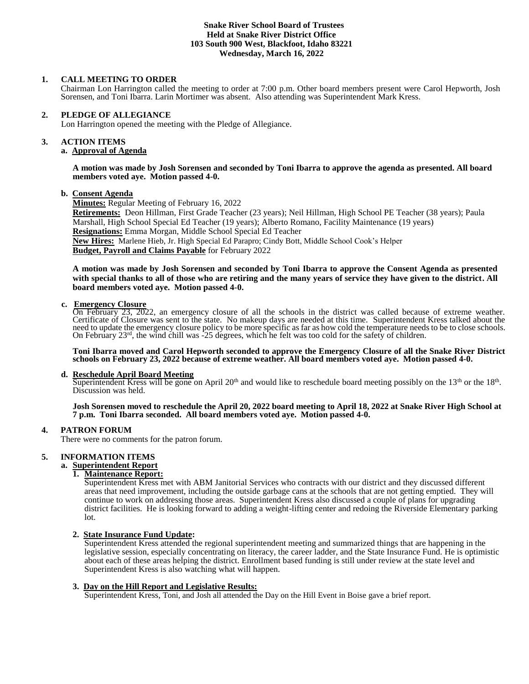### **Snake River School Board of Trustees Held at Snake River District Office 103 South 900 West, Blackfoot, Idaho 83221 Wednesday, March 16, 2022**

### **1. CALL MEETING TO ORDER**

Chairman Lon Harrington called the meeting to order at 7:00 p.m. Other board members present were Carol Hepworth, Josh Sorensen, and Toni Ibarra. Larin Mortimer was absent. Also attending was Superintendent Mark Kress.

### **2. PLEDGE OF ALLEGIANCE**

Lon Harrington opened the meeting with the Pledge of Allegiance.

## **3. ACTION ITEMS**

## **a. Approval of Agenda**

**A motion was made by Josh Sorensen and seconded by Toni Ibarra to approve the agenda as presented. All board members voted aye. Motion passed 4-0.**

### **b. Consent Agenda**

**Minutes:** Regular Meeting of February 16, 2022

**Retirements:** Deon Hillman, First Grade Teacher (23 years); Neil Hillman, High School PE Teacher (38 years); Paula Marshall, High School Special Ed Teacher (19 years); Alberto Romano, Facility Maintenance (19 years) **Resignations:** Emma Morgan, Middle School Special Ed Teacher **New Hires:** Marlene Hieb, Jr. High Special Ed Parapro; Cindy Bott, Middle School Cook's Helper **Budget, Payroll and Claims Payable** for February 2022

**A motion was made by Josh Sorensen and seconded by Toni Ibarra to approve the Consent Agenda as presented with special thanks to all of those who are retiring and the many years of service they have given to the district. All board members voted aye. Motion passed 4-0.**

### **c. Emergency Closure**

On February 23, 2022, an emergency closure of all the schools in the district was called because of extreme weather. Certificate of Closure was sent to the state. No makeup days are needed at this time. Superintendent Kress talked about the need to update the emergency closure policy to be more specific as far as how cold the temperature needs to be to close schools. On February 23rd, the wind chill was -25 degrees, which he felt was too cold for the safety of children.

**Toni Ibarra moved and Carol Hepworth seconded to approve the Emergency Closure of all the Snake River District schools on February 23, 2022 because of extreme weather. All board members voted aye. Motion passed 4-0.**

### **d. Reschedule April Board Meeting**

Superintendent Kress will be gone on April 20<sup>th</sup> and would like to reschedule board meeting possibly on the 13<sup>th</sup> or the 18<sup>th</sup>. Discussion was held.

**Josh Sorensen moved to reschedule the April 20, 2022 board meeting to April 18, 2022 at Snake River High School at 7 p.m. Toni Ibarra seconded. All board members voted aye. Motion passed 4-0.**

### **4. PATRON FORUM**

There were no comments for the patron forum.

### **5. INFORMATION ITEMS**

## **a. Superintendent Report**

## **1. Maintenance Report:**

Superintendent Kress met with ABM Janitorial Services who contracts with our district and they discussed different areas that need improvement, including the outside garbage cans at the schools that are not getting emptied. They will continue to work on addressing those areas. Superintendent Kress also discussed a couple of plans for upgrading district facilities. He is looking forward to adding a weight-lifting center and redoing the Riverside Elementary parking lot.

### **2. State Insurance Fund Update:**

Superintendent Kress attended the regional superintendent meeting and summarized things that are happening in the legislative session, especially concentrating on literacy, the career ladder, and the State Insurance Fund. He is optimistic about each of these areas helping the district. Enrollment based funding is still under review at the state level and Superintendent Kress is also watching what will happen.

#### **3. Day on the Hill Report and Legislative Results:**

Superintendent Kress, Toni, and Josh all attended the Day on the Hill Event in Boise gave a brief report.